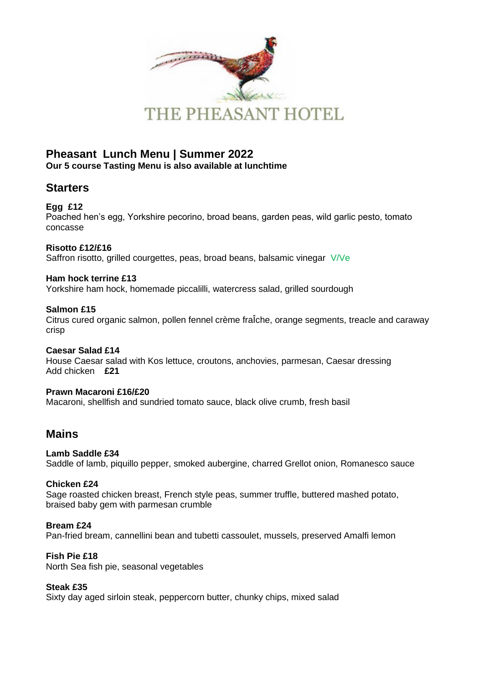

## **Pheasant Lunch Menu | Summer 2022 Our 5 course Tasting Menu is also available at lunchtime**

## **Starters**

## **Egg £12**

Poached hen's egg, Yorkshire pecorino, broad beans, garden peas, wild garlic pesto, tomato concasse

## **Risotto £12/£16**

Saffron risotto, grilled courgettes, peas, broad beans, balsamic vinegar V/Ve

### **Ham hock terrine £13**

Yorkshire ham hock, homemade piccalilli, watercress salad, grilled sourdough

## **Salmon £15**

Citrus cured organic salmon, pollen fennel crème fraÎche, orange segments, treacle and caraway crisp

# **Caesar Salad £14**

House Caesar salad with Kos lettuce, croutons, anchovies, parmesan, Caesar dressing Add chicken **£21**

# **Prawn Macaroni £16/£20**

Macaroni, shellfish and sundried tomato sauce, black olive crumb, fresh basil

## **Mains**

### **Lamb Saddle £34**

Saddle of lamb, piquillo pepper, smoked aubergine, charred Grellot onion, Romanesco sauce

### **Chicken £24**

Sage roasted chicken breast, French style peas, summer truffle, buttered mashed potato, braised baby gem with parmesan crumble

### **Bream £24**

Pan-fried bream, cannellini bean and tubetti cassoulet, mussels, preserved Amalfi lemon

## **Fish Pie £18**

North Sea fish pie, seasonal vegetables

### **Steak £35**

Sixty day aged sirloin steak, peppercorn butter, chunky chips, mixed salad